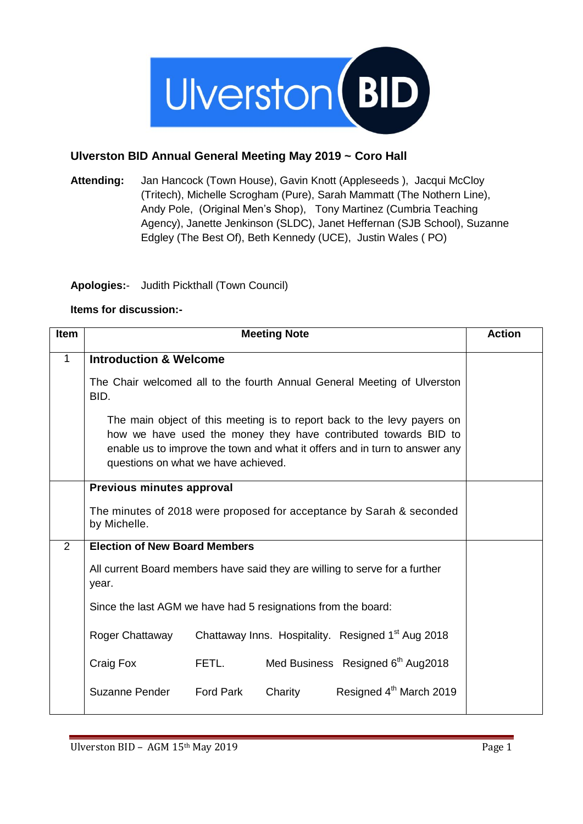

## **Ulverston BID Annual General Meeting May 2019 ~ Coro Hall**

**Attending:** Jan Hancock (Town House), Gavin Knott (Appleseeds ), Jacqui McCloy (Tritech), Michelle Scrogham (Pure), Sarah Mammatt (The Nothern Line), Andy Pole, (Original Men's Shop), Tony Martinez (Cumbria Teaching Agency), Janette Jenkinson (SLDC), Janet Heffernan (SJB School), Suzanne Edgley (The Best Of), Beth Kennedy (UCE), Justin Wales ( PO)

## **Apologies:**- Judith Pickthall (Town Council)

## **Items for discussion:-**

| <b>Item</b>  |                                                                                                                                                                                                                                                                 |                  | <b>Meeting Note</b> |                                                                          | <b>Action</b> |
|--------------|-----------------------------------------------------------------------------------------------------------------------------------------------------------------------------------------------------------------------------------------------------------------|------------------|---------------------|--------------------------------------------------------------------------|---------------|
| $\mathbf{1}$ | <b>Introduction &amp; Welcome</b>                                                                                                                                                                                                                               |                  |                     |                                                                          |               |
|              | BID.                                                                                                                                                                                                                                                            |                  |                     | The Chair welcomed all to the fourth Annual General Meeting of Ulverston |               |
|              | The main object of this meeting is to report back to the levy payers on<br>how we have used the money they have contributed towards BID to<br>enable us to improve the town and what it offers and in turn to answer any<br>questions on what we have achieved. |                  |                     |                                                                          |               |
|              | Previous minutes approval                                                                                                                                                                                                                                       |                  |                     |                                                                          |               |
|              | by Michelle.                                                                                                                                                                                                                                                    |                  |                     | The minutes of 2018 were proposed for acceptance by Sarah & seconded     |               |
| 2            | <b>Election of New Board Members</b>                                                                                                                                                                                                                            |                  |                     |                                                                          |               |
|              | All current Board members have said they are willing to serve for a further<br>year.                                                                                                                                                                            |                  |                     |                                                                          |               |
|              | Since the last AGM we have had 5 resignations from the board:                                                                                                                                                                                                   |                  |                     |                                                                          |               |
|              | Roger Chattaway                                                                                                                                                                                                                                                 |                  |                     | Chattaway Inns. Hospitality. Resigned 1 <sup>st</sup> Aug 2018           |               |
|              | Craig Fox                                                                                                                                                                                                                                                       | FETL.            |                     | Med Business Resigned 6th Aug2018                                        |               |
|              | Suzanne Pender                                                                                                                                                                                                                                                  | <b>Ford Park</b> | Charity             | Resigned 4 <sup>th</sup> March 2019                                      |               |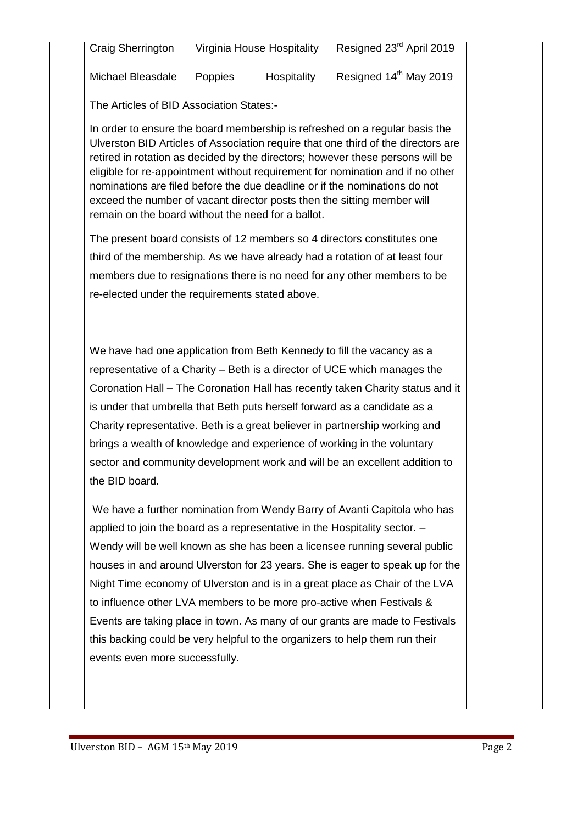| Craig Sherrington | Virginia House Hospitality | Resigned 23 <sup>rd</sup> April 2019 |
|-------------------|----------------------------|--------------------------------------|
|-------------------|----------------------------|--------------------------------------|

Michael Bleasdale Poppies Hospitality Resigned 14<sup>th</sup> May 2019

The Articles of BID Association States:-

In order to ensure the board membership is refreshed on a regular basis the Ulverston BID Articles of Association require that one third of the directors are retired in rotation as decided by the directors; however these persons will be eligible for re-appointment without requirement for nomination and if no other nominations are filed before the due deadline or if the nominations do not exceed the number of vacant director posts then the sitting member will remain on the board without the need for a ballot.

The present board consists of 12 members so 4 directors constitutes one third of the membership. As we have already had a rotation of at least four members due to resignations there is no need for any other members to be re-elected under the requirements stated above.

We have had one application from Beth Kennedy to fill the vacancy as a representative of a Charity – Beth is a director of UCE which manages the Coronation Hall – The Coronation Hall has recently taken Charity status and it is under that umbrella that Beth puts herself forward as a candidate as a Charity representative. Beth is a great believer in partnership working and brings a wealth of knowledge and experience of working in the voluntary sector and community development work and will be an excellent addition to the BID board.

We have a further nomination from Wendy Barry of Avanti Capitola who has applied to join the board as a representative in the Hospitality sector. – Wendy will be well known as she has been a licensee running several public houses in and around Ulverston for 23 years. She is eager to speak up for the Night Time economy of Ulverston and is in a great place as Chair of the LVA to influence other LVA members to be more pro-active when Festivals & Events are taking place in town. As many of our grants are made to Festivals this backing could be very helpful to the organizers to help them run their events even more successfully.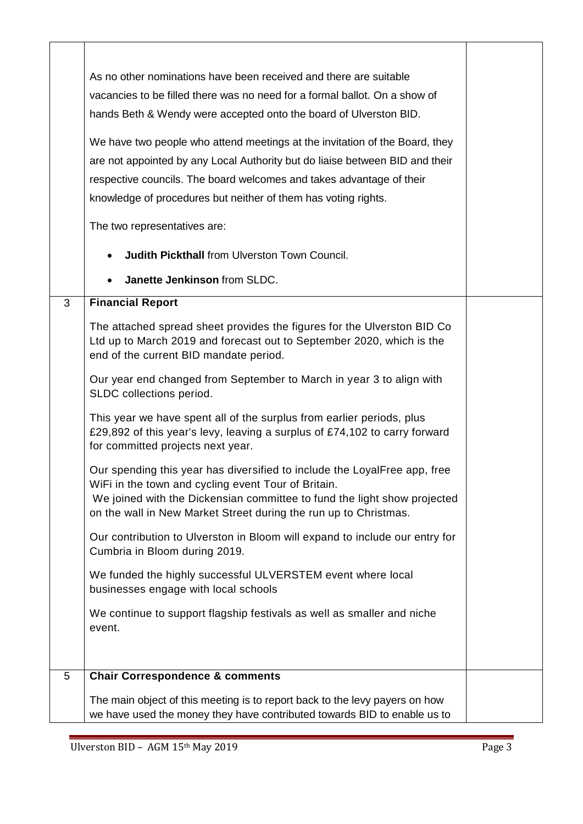|   | As no other nominations have been received and there are suitable<br>vacancies to be filled there was no need for a formal ballot. On a show of<br>hands Beth & Wendy were accepted onto the board of Ulverston BID.<br>We have two people who attend meetings at the invitation of the Board, they<br>are not appointed by any Local Authority but do liaise between BID and their<br>respective councils. The board welcomes and takes advantage of their<br>knowledge of procedures but neither of them has voting rights.<br>The two representatives are:<br><b>Judith Pickthall from Ulverston Town Council.</b><br>Janette Jenkinson from SLDC. |  |
|---|-------------------------------------------------------------------------------------------------------------------------------------------------------------------------------------------------------------------------------------------------------------------------------------------------------------------------------------------------------------------------------------------------------------------------------------------------------------------------------------------------------------------------------------------------------------------------------------------------------------------------------------------------------|--|
| 3 | <b>Financial Report</b>                                                                                                                                                                                                                                                                                                                                                                                                                                                                                                                                                                                                                               |  |
|   | The attached spread sheet provides the figures for the Ulverston BID Co<br>Ltd up to March 2019 and forecast out to September 2020, which is the<br>end of the current BID mandate period.                                                                                                                                                                                                                                                                                                                                                                                                                                                            |  |
|   | Our year end changed from September to March in year 3 to align with<br>SLDC collections period.                                                                                                                                                                                                                                                                                                                                                                                                                                                                                                                                                      |  |
|   | This year we have spent all of the surplus from earlier periods, plus<br>£29,892 of this year's levy, leaving a surplus of £74,102 to carry forward<br>for committed projects next year.                                                                                                                                                                                                                                                                                                                                                                                                                                                              |  |
|   | Our spending this year has diversified to include the LoyalFree app, free<br>WiFi in the town and cycling event Tour of Britain.<br>We joined with the Dickensian committee to fund the light show projected<br>on the wall in New Market Street during the run up to Christmas.                                                                                                                                                                                                                                                                                                                                                                      |  |
|   | Our contribution to Ulverston in Bloom will expand to include our entry for<br>Cumbria in Bloom during 2019.                                                                                                                                                                                                                                                                                                                                                                                                                                                                                                                                          |  |
|   | We funded the highly successful ULVERSTEM event where local<br>businesses engage with local schools                                                                                                                                                                                                                                                                                                                                                                                                                                                                                                                                                   |  |
|   | We continue to support flagship festivals as well as smaller and niche<br>event.                                                                                                                                                                                                                                                                                                                                                                                                                                                                                                                                                                      |  |
| 5 | <b>Chair Correspondence &amp; comments</b>                                                                                                                                                                                                                                                                                                                                                                                                                                                                                                                                                                                                            |  |
|   | The main object of this meeting is to report back to the levy payers on how<br>we have used the money they have contributed towards BID to enable us to                                                                                                                                                                                                                                                                                                                                                                                                                                                                                               |  |

┑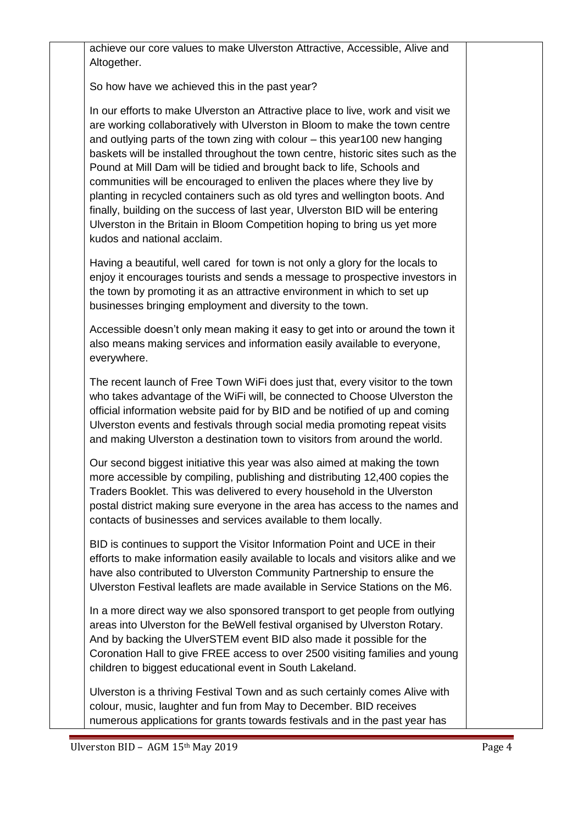achieve our core values to make Ulverston Attractive, Accessible, Alive and Altogether.

So how have we achieved this in the past year?

In our efforts to make Ulverston an Attractive place to live, work and visit we are working collaboratively with Ulverston in Bloom to make the town centre and outlying parts of the town zing with colour – this year100 new hanging baskets will be installed throughout the town centre, historic sites such as the Pound at Mill Dam will be tidied and brought back to life, Schools and communities will be encouraged to enliven the places where they live by planting in recycled containers such as old tyres and wellington boots. And finally, building on the success of last year, Ulverston BID will be entering Ulverston in the Britain in Bloom Competition hoping to bring us yet more kudos and national acclaim.

Having a beautiful, well cared for town is not only a glory for the locals to enjoy it encourages tourists and sends a message to prospective investors in the town by promoting it as an attractive environment in which to set up businesses bringing employment and diversity to the town.

Accessible doesn't only mean making it easy to get into or around the town it also means making services and information easily available to everyone, everywhere.

The recent launch of Free Town WiFi does just that, every visitor to the town who takes advantage of the WiFi will, be connected to Choose Ulverston the official information website paid for by BID and be notified of up and coming Ulverston events and festivals through social media promoting repeat visits and making Ulverston a destination town to visitors from around the world.

Our second biggest initiative this year was also aimed at making the town more accessible by compiling, publishing and distributing 12,400 copies the Traders Booklet. This was delivered to every household in the Ulverston postal district making sure everyone in the area has access to the names and contacts of businesses and services available to them locally.

BID is continues to support the Visitor Information Point and UCE in their efforts to make information easily available to locals and visitors alike and we have also contributed to Ulverston Community Partnership to ensure the Ulverston Festival leaflets are made available in Service Stations on the M6.

In a more direct way we also sponsored transport to get people from outlying areas into Ulverston for the BeWell festival organised by Ulverston Rotary. And by backing the UlverSTEM event BID also made it possible for the Coronation Hall to give FREE access to over 2500 visiting families and young children to biggest educational event in South Lakeland.

Ulverston is a thriving Festival Town and as such certainly comes Alive with colour, music, laughter and fun from May to December. BID receives numerous applications for grants towards festivals and in the past year has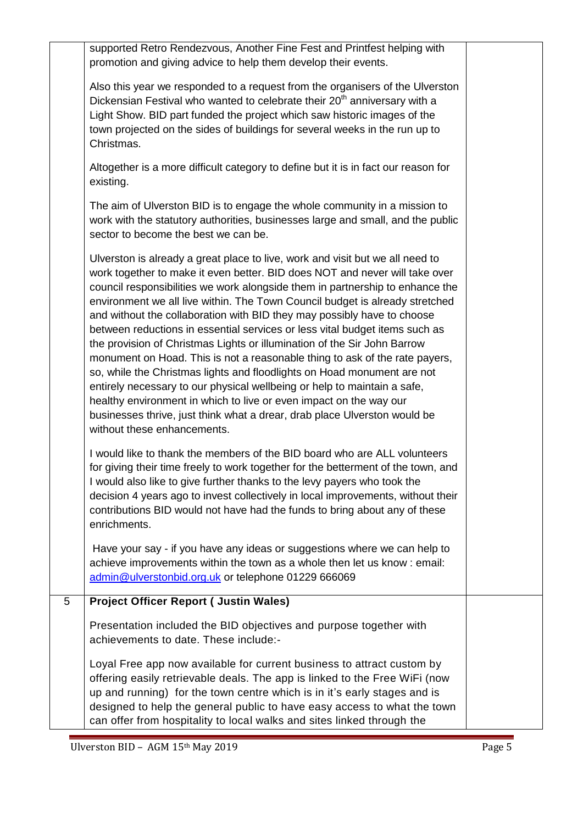|   | supported Retro Rendezvous, Another Fine Fest and Printfest helping with<br>promotion and giving advice to help them develop their events.                                                                                                                                                                                                                                                                                                                                                                                                                                                                                                                                                                                                                                                                                                                                                                                                                                                  |  |
|---|---------------------------------------------------------------------------------------------------------------------------------------------------------------------------------------------------------------------------------------------------------------------------------------------------------------------------------------------------------------------------------------------------------------------------------------------------------------------------------------------------------------------------------------------------------------------------------------------------------------------------------------------------------------------------------------------------------------------------------------------------------------------------------------------------------------------------------------------------------------------------------------------------------------------------------------------------------------------------------------------|--|
|   | Also this year we responded to a request from the organisers of the Ulverston<br>Dickensian Festival who wanted to celebrate their 20 <sup>th</sup> anniversary with a<br>Light Show. BID part funded the project which saw historic images of the<br>town projected on the sides of buildings for several weeks in the run up to<br>Christmas.                                                                                                                                                                                                                                                                                                                                                                                                                                                                                                                                                                                                                                             |  |
|   | Altogether is a more difficult category to define but it is in fact our reason for<br>existing.                                                                                                                                                                                                                                                                                                                                                                                                                                                                                                                                                                                                                                                                                                                                                                                                                                                                                             |  |
|   | The aim of Ulverston BID is to engage the whole community in a mission to<br>work with the statutory authorities, businesses large and small, and the public<br>sector to become the best we can be.                                                                                                                                                                                                                                                                                                                                                                                                                                                                                                                                                                                                                                                                                                                                                                                        |  |
|   | Ulverston is already a great place to live, work and visit but we all need to<br>work together to make it even better. BID does NOT and never will take over<br>council responsibilities we work alongside them in partnership to enhance the<br>environment we all live within. The Town Council budget is already stretched<br>and without the collaboration with BID they may possibly have to choose<br>between reductions in essential services or less vital budget items such as<br>the provision of Christmas Lights or illumination of the Sir John Barrow<br>monument on Hoad. This is not a reasonable thing to ask of the rate payers,<br>so, while the Christmas lights and floodlights on Hoad monument are not<br>entirely necessary to our physical wellbeing or help to maintain a safe,<br>healthy environment in which to live or even impact on the way our<br>businesses thrive, just think what a drear, drab place Ulverston would be<br>without these enhancements. |  |
|   | I would like to thank the members of the BID board who are ALL volunteers<br>for giving their time freely to work together for the betterment of the town, and<br>I would also like to give further thanks to the levy payers who took the<br>decision 4 years ago to invest collectively in local improvements, without their<br>contributions BID would not have had the funds to bring about any of these<br>enrichments.                                                                                                                                                                                                                                                                                                                                                                                                                                                                                                                                                                |  |
|   | Have your say - if you have any ideas or suggestions where we can help to<br>achieve improvements within the town as a whole then let us know: email:<br>admin@ulverstonbid.org.uk or telephone 01229 666069                                                                                                                                                                                                                                                                                                                                                                                                                                                                                                                                                                                                                                                                                                                                                                                |  |
| 5 | <b>Project Officer Report ( Justin Wales)</b>                                                                                                                                                                                                                                                                                                                                                                                                                                                                                                                                                                                                                                                                                                                                                                                                                                                                                                                                               |  |
|   | Presentation included the BID objectives and purpose together with<br>achievements to date. These include:-                                                                                                                                                                                                                                                                                                                                                                                                                                                                                                                                                                                                                                                                                                                                                                                                                                                                                 |  |
|   | Loyal Free app now available for current business to attract custom by<br>offering easily retrievable deals. The app is linked to the Free WiFi (now<br>up and running) for the town centre which is in it's early stages and is<br>designed to help the general public to have easy access to what the town<br>can offer from hospitality to local walks and sites linked through the                                                                                                                                                                                                                                                                                                                                                                                                                                                                                                                                                                                                      |  |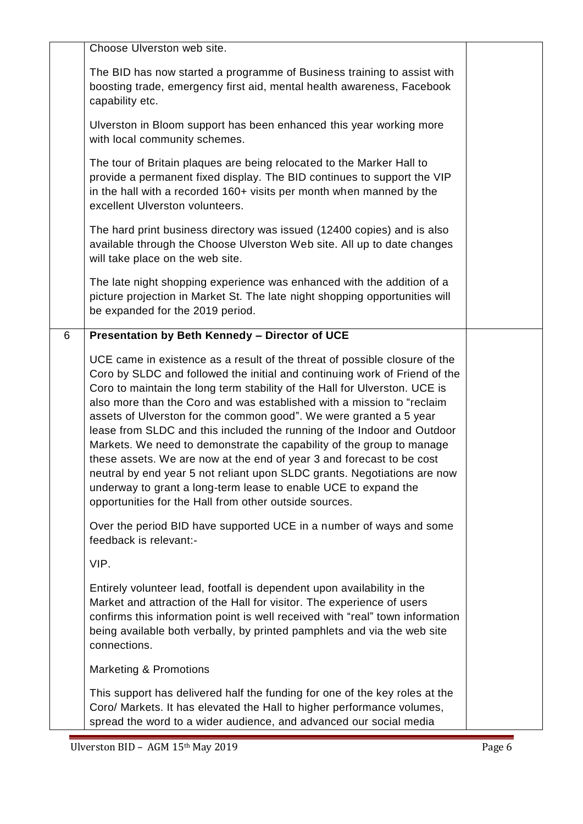|   | Choose Ulverston web site.                                                                                                                                                                                                                                                                                                                                                                                                                                                                                                                                                                                                                                                                                                                                                                                                   |  |
|---|------------------------------------------------------------------------------------------------------------------------------------------------------------------------------------------------------------------------------------------------------------------------------------------------------------------------------------------------------------------------------------------------------------------------------------------------------------------------------------------------------------------------------------------------------------------------------------------------------------------------------------------------------------------------------------------------------------------------------------------------------------------------------------------------------------------------------|--|
|   | The BID has now started a programme of Business training to assist with<br>boosting trade, emergency first aid, mental health awareness, Facebook<br>capability etc.                                                                                                                                                                                                                                                                                                                                                                                                                                                                                                                                                                                                                                                         |  |
|   | Ulverston in Bloom support has been enhanced this year working more<br>with local community schemes.                                                                                                                                                                                                                                                                                                                                                                                                                                                                                                                                                                                                                                                                                                                         |  |
|   | The tour of Britain plaques are being relocated to the Marker Hall to<br>provide a permanent fixed display. The BID continues to support the VIP<br>in the hall with a recorded 160+ visits per month when manned by the<br>excellent Ulverston volunteers.                                                                                                                                                                                                                                                                                                                                                                                                                                                                                                                                                                  |  |
|   | The hard print business directory was issued (12400 copies) and is also<br>available through the Choose Ulverston Web site. All up to date changes<br>will take place on the web site.                                                                                                                                                                                                                                                                                                                                                                                                                                                                                                                                                                                                                                       |  |
|   | The late night shopping experience was enhanced with the addition of a<br>picture projection in Market St. The late night shopping opportunities will<br>be expanded for the 2019 period.                                                                                                                                                                                                                                                                                                                                                                                                                                                                                                                                                                                                                                    |  |
| 6 | Presentation by Beth Kennedy - Director of UCE                                                                                                                                                                                                                                                                                                                                                                                                                                                                                                                                                                                                                                                                                                                                                                               |  |
|   | UCE came in existence as a result of the threat of possible closure of the<br>Coro by SLDC and followed the initial and continuing work of Friend of the<br>Coro to maintain the long term stability of the Hall for Ulverston. UCE is<br>also more than the Coro and was established with a mission to "reclaim<br>assets of Ulverston for the common good". We were granted a 5 year<br>lease from SLDC and this included the running of the Indoor and Outdoor<br>Markets. We need to demonstrate the capability of the group to manage<br>these assets. We are now at the end of year 3 and forecast to be cost<br>neutral by end year 5 not reliant upon SLDC grants. Negotiations are now<br>underway to grant a long-term lease to enable UCE to expand the<br>opportunities for the Hall from other outside sources. |  |
|   | Over the period BID have supported UCE in a number of ways and some<br>feedback is relevant:-                                                                                                                                                                                                                                                                                                                                                                                                                                                                                                                                                                                                                                                                                                                                |  |
|   | VIP.                                                                                                                                                                                                                                                                                                                                                                                                                                                                                                                                                                                                                                                                                                                                                                                                                         |  |
|   | Entirely volunteer lead, footfall is dependent upon availability in the<br>Market and attraction of the Hall for visitor. The experience of users<br>confirms this information point is well received with "real" town information<br>being available both verbally, by printed pamphlets and via the web site<br>connections.                                                                                                                                                                                                                                                                                                                                                                                                                                                                                               |  |
|   | Marketing & Promotions                                                                                                                                                                                                                                                                                                                                                                                                                                                                                                                                                                                                                                                                                                                                                                                                       |  |
|   | This support has delivered half the funding for one of the key roles at the<br>Coro/ Markets. It has elevated the Hall to higher performance volumes,<br>spread the word to a wider audience, and advanced our social media                                                                                                                                                                                                                                                                                                                                                                                                                                                                                                                                                                                                  |  |